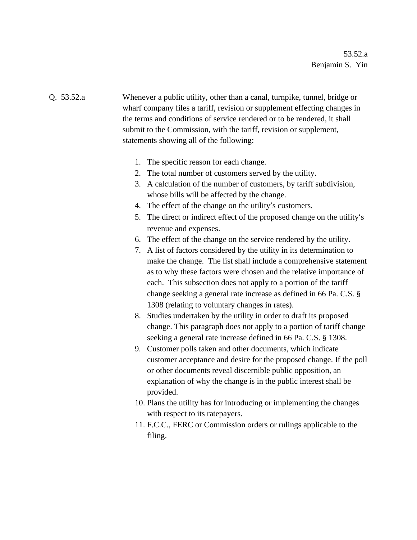Q. 53.52.a Whenever a public utility, other than a canal, turnpike, tunnel, bridge or wharf company files a tariff, revision or supplement effecting changes in the terms and conditions of service rendered or to be rendered, it shall submit to the Commission, with the tariff, revision or supplement, statements showing all of the following:

- 1. The specific reason for each change.
- 2. The total number of customers served by the utility.
- 3. A calculation of the number of customers, by tariff subdivision, whose bills will be affected by the change.
- 4. The effect of the change on the utility's customers.
- 5. The direct or indirect effect of the proposed change on the utility's revenue and expenses.
- 6. The effect of the change on the service rendered by the utility.
- 7. A list of factors considered by the utility in its determination to make the change. The list shall include a comprehensive statement as to why these factors were chosen and the relative importance of each. This subsection does not apply to a portion of the tariff change seeking a general rate increase as defined in 66 Pa. C.S. § 1308 (relating to voluntary changes in rates).
- 8. Studies undertaken by the utility in order to draft its proposed change. This paragraph does not apply to a portion of tariff change seeking a general rate increase defined in 66 Pa. C.S. § 1308.
- 9. Customer polls taken and other documents, which indicate customer acceptance and desire for the proposed change. If the poll or other documents reveal discernible public opposition, an explanation of why the change is in the public interest shall be provided.
- 10. Plans the utility has for introducing or implementing the changes with respect to its ratepayers.
- 11. F.C.C., FERC or Commission orders or rulings applicable to the filing.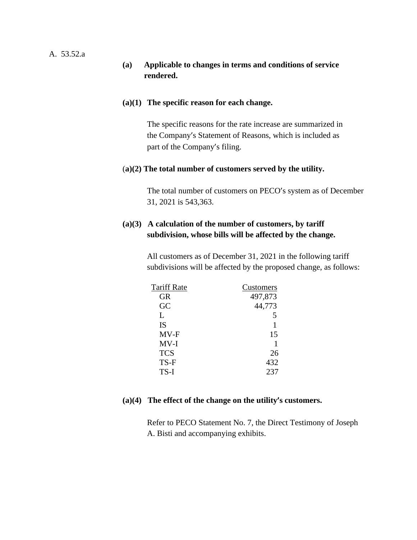### A. 53.52.a

### **(a) Applicable to changes in terms and conditions of service rendered.**

#### **(a)(1) The specific reason for each change.**

The specific reasons for the rate increase are summarized in the Company's Statement of Reasons, which is included as part of the Company's filing.

#### (**a)(2) The total number of customers served by the utility.**

The total number of customers on PECO's system as of December 31, 2021 is 543,363.

# **(a)(3) A calculation of the number of customers, by tariff subdivision, whose bills will be affected by the change.**

All customers as of December 31, 2021 in the following tariff subdivisions will be affected by the proposed change, as follows:

| <b>Tariff Rate</b> | Customers |
|--------------------|-----------|
| <b>GR</b>          | 497,873   |
| GC                 | 44,773    |
| L                  |           |
| IS                 |           |
| MV-F               | 15        |
| $MV-I$             |           |
| <b>TCS</b>         | 26        |
| TS-F               | 432       |
| TS-I               | 237       |

#### **(a)(4) The effect of the change on the utility's customers.**

Refer to PECO Statement No. 7, the Direct Testimony of Joseph A. Bisti and accompanying exhibits.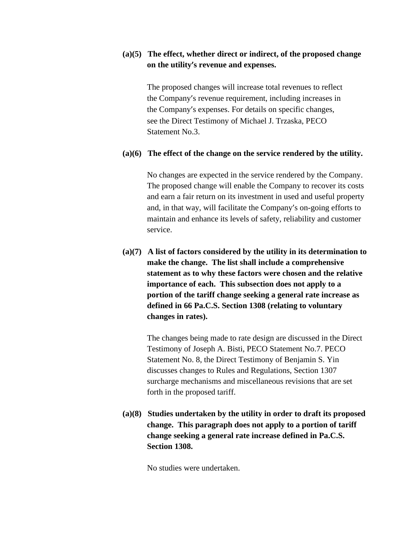# **(a)(5) The effect, whether direct or indirect, of the proposed change on the utility's revenue and expenses.**

The proposed changes will increase total revenues to reflect the Company's revenue requirement, including increases in the Company's expenses. For details on specific changes, see the Direct Testimony of Michael J. Trzaska, PECO Statement No.3.

#### **(a)(6) The effect of the change on the service rendered by the utility.**

No changes are expected in the service rendered by the Company. The proposed change will enable the Company to recover its costs and earn a fair return on its investment in used and useful property and, in that way, will facilitate the Company's on-going efforts to maintain and enhance its levels of safety, reliability and customer service.

**(a)(7) A list of factors considered by the utility in its determination to make the change. The list shall include a comprehensive statement as to why these factors were chosen and the relative importance of each. This subsection does not apply to a portion of the tariff change seeking a general rate increase as defined in 66 Pa.C.S. Section 1308 (relating to voluntary changes in rates).** 

The changes being made to rate design are discussed in the Direct Testimony of Joseph A. Bisti, PECO Statement No.7. PECO Statement No. 8, the Direct Testimony of Benjamin S. Yin discusses changes to Rules and Regulations, Section 1307 surcharge mechanisms and miscellaneous revisions that are set forth in the proposed tariff.

**(a)(8) Studies undertaken by the utility in order to draft its proposed change. This paragraph does not apply to a portion of tariff change seeking a general rate increase defined in Pa.C.S. Section 1308.** 

No studies were undertaken.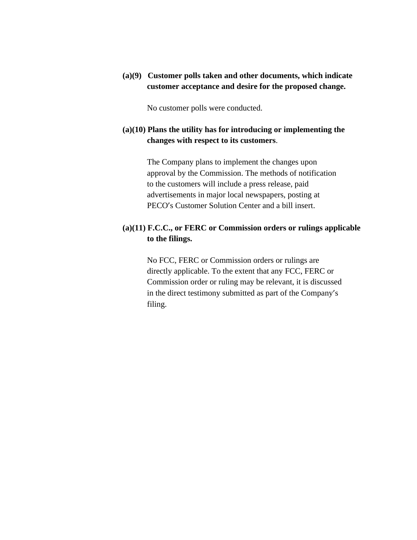**(a)(9) Customer polls taken and other documents, which indicate customer acceptance and desire for the proposed change.** 

No customer polls were conducted.

# **(a)(10) Plans the utility has for introducing or implementing the changes with respect to its customers**.

The Company plans to implement the changes upon approval by the Commission. The methods of notification to the customers will include a press release, paid advertisements in major local newspapers, posting at PECO's Customer Solution Center and a bill insert.

# **(a)(11) F.C.C., or FERC or Commission orders or rulings applicable to the filings.**

No FCC, FERC or Commission orders or rulings are directly applicable. To the extent that any FCC, FERC or Commission order or ruling may be relevant, it is discussed in the direct testimony submitted as part of the Company's filing.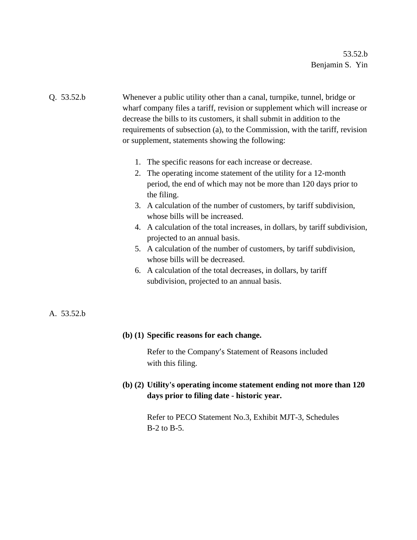# Q. 53.52.b Whenever a public utility other than a canal, turnpike, tunnel, bridge or wharf company files a tariff, revision or supplement which will increase or decrease the bills to its customers, it shall submit in addition to the requirements of subsection (a), to the Commission, with the tariff, revision or supplement, statements showing the following:

- 1. The specific reasons for each increase or decrease.
- 2. The operating income statement of the utility for a 12-month period, the end of which may not be more than 120 days prior to the filing.
- 3. A calculation of the number of customers, by tariff subdivision, whose bills will be increased.
- 4. A calculation of the total increases, in dollars, by tariff subdivision, projected to an annual basis.
- 5. A calculation of the number of customers, by tariff subdivision, whose bills will be decreased.
- 6. A calculation of the total decreases, in dollars, by tariff subdivision, projected to an annual basis.

# A. 53.52.b

#### **(b) (1) Specific reasons for each change.**

Refer to the Company's Statement of Reasons included with this filing.

# **(b) (2) Utility's operating income statement ending not more than 120 days prior to filing date - historic year.**

Refer to PECO Statement No.3, Exhibit MJT-3, Schedules B-2 to B-5.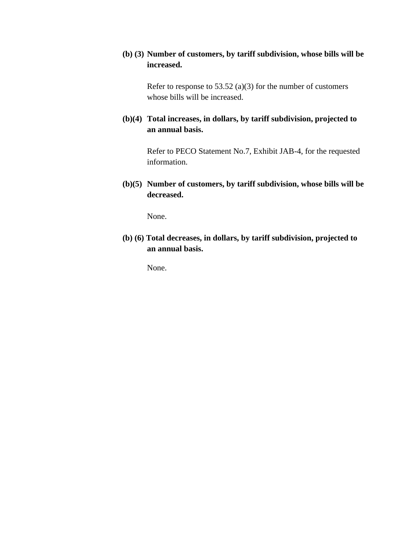# **(b) (3) Number of customers, by tariff subdivision, whose bills will be increased.**

Refer to response to 53.52 (a)(3) for the number of customers whose bills will be increased.

**(b)(4) Total increases, in dollars, by tariff subdivision, projected to an annual basis.** 

> Refer to PECO Statement No.7, Exhibit JAB-4, for the requested information.

**(b)(5) Number of customers, by tariff subdivision, whose bills will be decreased.** 

None.

**(b) (6) Total decreases, in dollars, by tariff subdivision, projected to an annual basis.** 

None.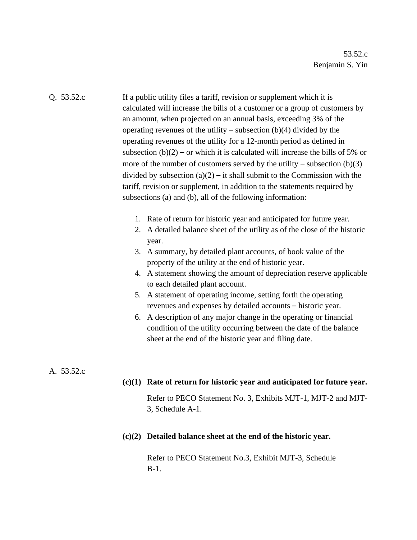Q. 53.52.c If a public utility files a tariff, revision or supplement which it is calculated will increase the bills of a customer or a group of customers by an amount, when projected on an annual basis, exceeding 3% of the operating revenues of the utility – subsection  $(b)(4)$  divided by the operating revenues of the utility for a 12-month period as defined in subsection  $(b)(2)$  – or which it is calculated will increase the bills of 5% or more of the number of customers served by the utility – subsection  $(b)(3)$ divided by subsection  $(a)(2) - it$  shall submit to the Commission with the tariff, revision or supplement, in addition to the statements required by subsections (a) and (b), all of the following information:

- 1. Rate of return for historic year and anticipated for future year.
- 2. A detailed balance sheet of the utility as of the close of the historic year.
- 3. A summary, by detailed plant accounts, of book value of the property of the utility at the end of historic year.
- 4. A statement showing the amount of depreciation reserve applicable to each detailed plant account.
- 5. A statement of operating income, setting forth the operating revenues and expenses by detailed accounts – historic year.
- 6. A description of any major change in the operating or financial condition of the utility occurring between the date of the balance sheet at the end of the historic year and filing date.

#### A. 53.52.c

#### **(c)(1) Rate of return for historic year and anticipated for future year.**

Refer to PECO Statement No. 3, Exhibits MJT-1, MJT-2 and MJT-3, Schedule A-1.

#### **(c)(2) Detailed balance sheet at the end of the historic year.**

Refer to PECO Statement No.3, Exhibit MJT-3, Schedule B-1.